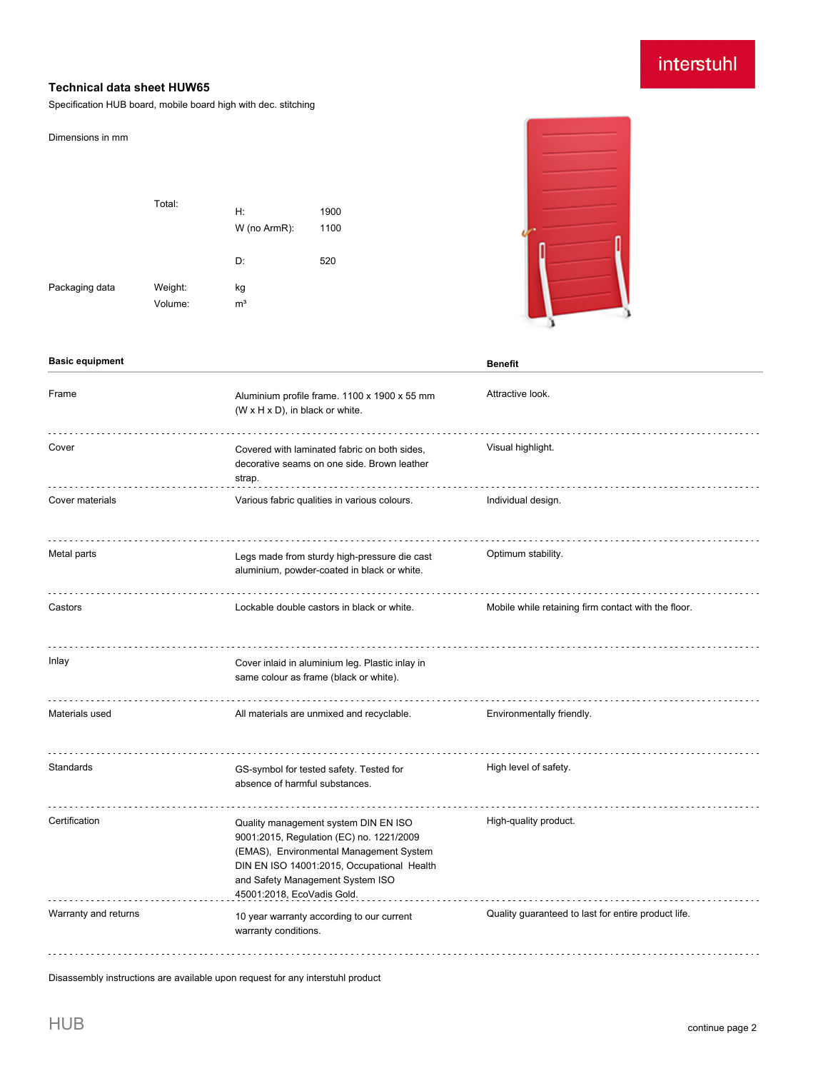## interstuhl

## **Technical data sheet HUW65**

Specification HUB board, mobile board high with dec. stitching

| Dimensions in mm<br>Packaging data | Total:<br>Weight:<br>Volume: | H:<br>W (no ArmR):<br>D:<br>kg<br>m <sup>3</sup>                                                                                                                                                                                            | 1900<br>1100<br>520                        |                                                     |
|------------------------------------|------------------------------|---------------------------------------------------------------------------------------------------------------------------------------------------------------------------------------------------------------------------------------------|--------------------------------------------|-----------------------------------------------------|
| <b>Basic equipment</b>             |                              |                                                                                                                                                                                                                                             |                                            | <b>Benefit</b>                                      |
| Frame                              |                              | Aluminium profile frame. 1100 x 1900 x 55 mm<br>(W x H x D), in black or white.                                                                                                                                                             |                                            | Attractive look.                                    |
| Cover                              |                              | Covered with laminated fabric on both sides,<br>decorative seams on one side. Brown leather<br>strap.                                                                                                                                       |                                            | Visual highlight.                                   |
| Cover materials                    |                              | Various fabric qualities in various colours.                                                                                                                                                                                                |                                            | Individual design.                                  |
| Metal parts                        |                              | Legs made from sturdy high-pressure die cast<br>aluminium, powder-coated in black or white.                                                                                                                                                 |                                            | Optimum stability.                                  |
| Castors                            |                              |                                                                                                                                                                                                                                             | Lockable double castors in black or white. | Mobile while retaining firm contact with the floor. |
| Inlay                              |                              | Cover inlaid in aluminium leg. Plastic inlay in<br>same colour as frame (black or white).                                                                                                                                                   |                                            |                                                     |
| Materials used                     |                              | All materials are unmixed and recyclable.                                                                                                                                                                                                   |                                            | Environmentally friendly.                           |
| Standards                          |                              | GS-symbol for tested safety. Tested for<br>absence of harmful substances.                                                                                                                                                                   |                                            | High level of safety.                               |
| Certification                      |                              | Quality management system DIN EN ISO<br>9001:2015, Regulation (EC) no. 1221/2009<br>(EMAS), Environmental Management System<br>DIN EN ISO 14001:2015, Occupational Health<br>and Safety Management System ISO<br>45001:2018, EcoVadis Gold. |                                            | High-quality product.                               |
| Warranty and returns               |                              | 10 year warranty according to our current<br>warranty conditions.                                                                                                                                                                           |                                            | Quality guaranteed to last for entire product life. |

Disassembly instructions are available upon request for any interstuhl product